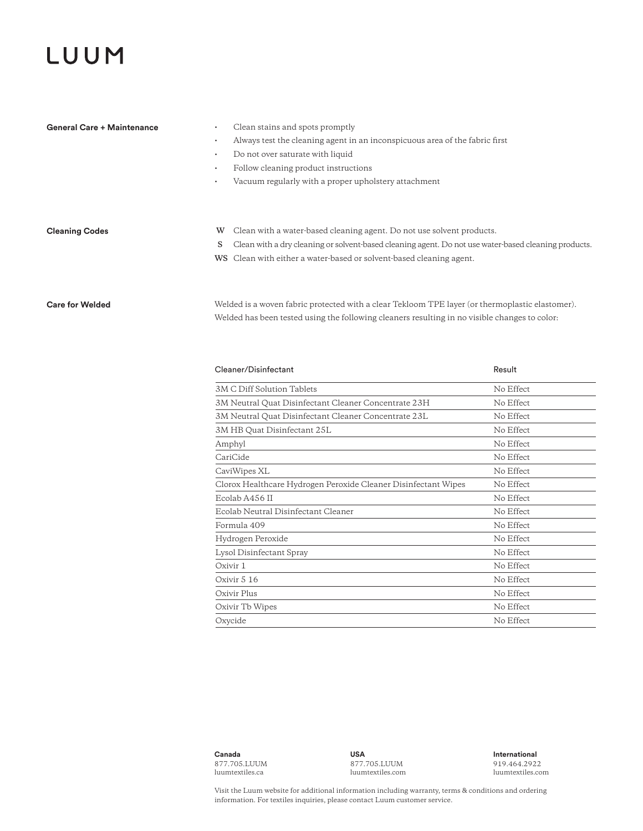## LUUM

| General Care + Maintenance | Clean stains and spots promptly                                                                      |
|----------------------------|------------------------------------------------------------------------------------------------------|
| ٠                          | Always test the cleaning agent in an inconspicuous area of the fabric first                          |
|                            | Do not over saturate with liquid                                                                     |
|                            | Follow cleaning product instructions                                                                 |
| ٠                          | Vacuum regularly with a proper upholstery attachment                                                 |
|                            |                                                                                                      |
|                            |                                                                                                      |
| <b>Cleaning Codes</b>      | W Clean with a water-based cleaning agent. Do not use solvent products.                              |
| S                          | Clean with a dry cleaning or solvent-based cleaning agent. Do not use water-based cleaning products. |
|                            | WS Clean with either a water-based or solvent-based cleaning agent.                                  |
|                            |                                                                                                      |

## **Care for Welded**

Welded is a woven fabric protected with a clear Tekloom TPE layer (or thermoplastic elastomer). Welded has been tested using the following cleaners resulting in no visible changes to color:

| Cleaner/Disinfectant                                           | Result    |
|----------------------------------------------------------------|-----------|
| 3M C Diff Solution Tablets                                     | No Effect |
| 3M Neutral Quat Disinfectant Cleaner Concentrate 23H           | No Effect |
| 3M Neutral Quat Disinfectant Cleaner Concentrate 23L           | No Effect |
| 3M HB Quat Disinfectant 25L                                    | No Effect |
| Amphyl                                                         | No Effect |
| CariCide                                                       | No Effect |
| CaviWipes XL                                                   | No Effect |
| Clorox Healthcare Hydrogen Peroxide Cleaner Disinfectant Wipes | No Effect |
| Ecolab A456 II                                                 | No Effect |
| Ecolab Neutral Disinfectant Cleaner                            | No Effect |
| Formula 409                                                    | No Effect |
| Hydrogen Peroxide                                              | No Effect |
| Lysol Disinfectant Spray                                       | No Effect |
| Oxivir 1                                                       | No Effect |
| Oxivir 5 16                                                    | No Effect |
| Oxivir Plus                                                    | No Effect |
| Oxivir Tb Wipes                                                | No Effect |
| Oxycide                                                        | No Effect |

**Canada**  877.705.LUUM luumtextiles.ca

**USA**  877.705.LUUM luumtextiles.com **International**  919.464.2922 luumtextiles.com

Visit the Luum website for additional information including warranty, terms & conditions and ordering information. For textiles inquiries, please contact Luum customer service.